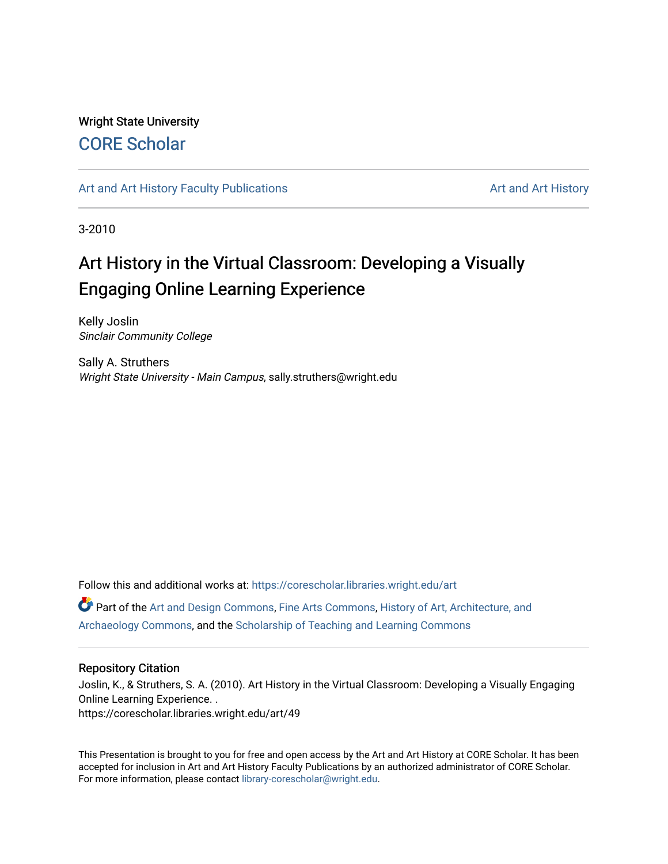### Wright State University [CORE Scholar](https://corescholar.libraries.wright.edu/)

### [Art and Art History Faculty Publications](https://corescholar.libraries.wright.edu/art) [Art and Art History](https://corescholar.libraries.wright.edu/art_comm) Art and Art History

3-2010

### Art History in the Virtual Classroom: Developing a Visually Engaging Online Learning Experience

Kelly Joslin Sinclair Community College

Sally A. Struthers Wright State University - Main Campus, sally.struthers@wright.edu

Follow this and additional works at: [https://corescholar.libraries.wright.edu/art](https://corescholar.libraries.wright.edu/art?utm_source=corescholar.libraries.wright.edu%2Fart%2F49&utm_medium=PDF&utm_campaign=PDFCoverPages)  Part of the [Art and Design Commons](http://network.bepress.com/hgg/discipline/1049?utm_source=corescholar.libraries.wright.edu%2Fart%2F49&utm_medium=PDF&utm_campaign=PDFCoverPages), [Fine Arts Commons](http://network.bepress.com/hgg/discipline/1141?utm_source=corescholar.libraries.wright.edu%2Fart%2F49&utm_medium=PDF&utm_campaign=PDFCoverPages), [History of Art, Architecture, and](http://network.bepress.com/hgg/discipline/510?utm_source=corescholar.libraries.wright.edu%2Fart%2F49&utm_medium=PDF&utm_campaign=PDFCoverPages)  [Archaeology Commons](http://network.bepress.com/hgg/discipline/510?utm_source=corescholar.libraries.wright.edu%2Fart%2F49&utm_medium=PDF&utm_campaign=PDFCoverPages), and the [Scholarship of Teaching and Learning Commons](http://network.bepress.com/hgg/discipline/1328?utm_source=corescholar.libraries.wright.edu%2Fart%2F49&utm_medium=PDF&utm_campaign=PDFCoverPages) 

### Repository Citation

Joslin, K., & Struthers, S. A. (2010). Art History in the Virtual Classroom: Developing a Visually Engaging Online Learning Experience. . https://corescholar.libraries.wright.edu/art/49

This Presentation is brought to you for free and open access by the Art and Art History at CORE Scholar. It has been accepted for inclusion in Art and Art History Faculty Publications by an authorized administrator of CORE Scholar. For more information, please contact [library-corescholar@wright.edu](mailto:library-corescholar@wright.edu).